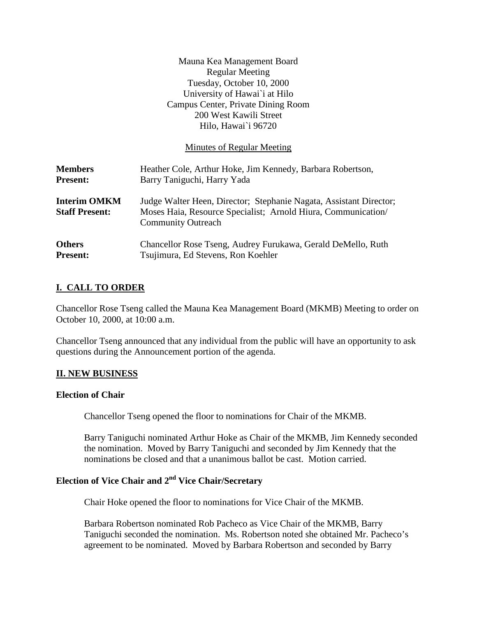|                                              | Mauna Kea Management Board<br><b>Regular Meeting</b><br>Tuesday, October 10, 2000<br>University of Hawai'i at Hilo<br>Campus Center, Private Dining Room<br>200 West Kawili Street<br>Hilo, Hawai`i 96720 |
|----------------------------------------------|-----------------------------------------------------------------------------------------------------------------------------------------------------------------------------------------------------------|
|                                              | Minutes of Regular Meeting                                                                                                                                                                                |
| <b>Members</b><br><b>Present:</b>            | Heather Cole, Arthur Hoke, Jim Kennedy, Barbara Robertson,<br>Barry Taniguchi, Harry Yada                                                                                                                 |
| <b>Interim OMKM</b><br><b>Staff Present:</b> | Judge Walter Heen, Director; Stephanie Nagata, Assistant Director;<br>Moses Haia, Resource Specialist; Arnold Hiura, Communication/<br><b>Community Outreach</b>                                          |
| <b>Others</b><br><b>Present:</b>             | Chancellor Rose Tseng, Audrey Furukawa, Gerald DeMello, Ruth<br>Tsujimura, Ed Stevens, Ron Koehler                                                                                                        |

### **I. CALL TO ORDER**

Chancellor Rose Tseng called the Mauna Kea Management Board (MKMB) Meeting to order on October 10, 2000, at 10:00 a.m.

Chancellor Tseng announced that any individual from the public will have an opportunity to ask questions during the Announcement portion of the agenda.

#### **II. NEW BUSINESS**

#### **Election of Chair**

Chancellor Tseng opened the floor to nominations for Chair of the MKMB.

Barry Taniguchi nominated Arthur Hoke as Chair of the MKMB, Jim Kennedy seconded the nomination. Moved by Barry Taniguchi and seconded by Jim Kennedy that the nominations be closed and that a unanimous ballot be cast. Motion carried.

# **Election of Vice Chair and 2nd Vice Chair/Secretary**

Chair Hoke opened the floor to nominations for Vice Chair of the MKMB.

Barbara Robertson nominated Rob Pacheco as Vice Chair of the MKMB, Barry Taniguchi seconded the nomination. Ms. Robertson noted she obtained Mr. Pacheco's agreement to be nominated. Moved by Barbara Robertson and seconded by Barry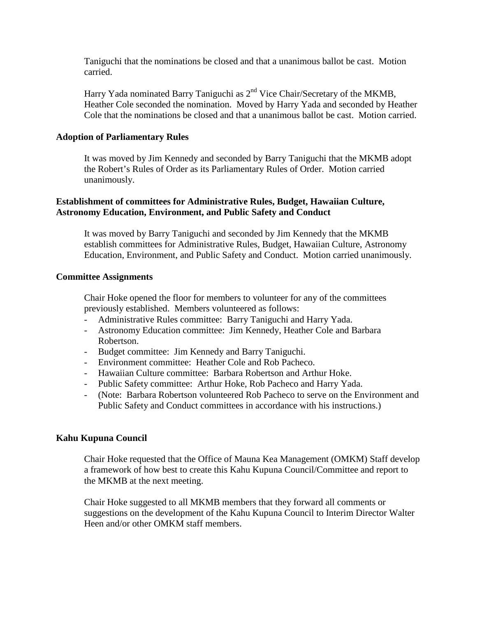Taniguchi that the nominations be closed and that a unanimous ballot be cast. Motion carried.

Harry Yada nominated Barry Taniguchi as  $2<sup>nd</sup>$  Vice Chair/Secretary of the MKMB, Heather Cole seconded the nomination. Moved by Harry Yada and seconded by Heather Cole that the nominations be closed and that a unanimous ballot be cast. Motion carried.

#### **Adoption of Parliamentary Rules**

It was moved by Jim Kennedy and seconded by Barry Taniguchi that the MKMB adopt the Robert's Rules of Order as its Parliamentary Rules of Order. Motion carried unanimously.

### **Establishment of committees for Administrative Rules, Budget, Hawaiian Culture, Astronomy Education, Environment, and Public Safety and Conduct**

It was moved by Barry Taniguchi and seconded by Jim Kennedy that the MKMB establish committees for Administrative Rules, Budget, Hawaiian Culture, Astronomy Education, Environment, and Public Safety and Conduct. Motion carried unanimously.

#### **Committee Assignments**

Chair Hoke opened the floor for members to volunteer for any of the committees previously established. Members volunteered as follows:

- Administrative Rules committee: Barry Taniguchi and Harry Yada.
- Astronomy Education committee: Jim Kennedy, Heather Cole and Barbara Robertson.
- Budget committee: Jim Kennedy and Barry Taniguchi.
- Environment committee: Heather Cole and Rob Pacheco.
- Hawaiian Culture committee: Barbara Robertson and Arthur Hoke.
- Public Safety committee: Arthur Hoke, Rob Pacheco and Harry Yada.
- (Note: Barbara Robertson volunteered Rob Pacheco to serve on the Environment and Public Safety and Conduct committees in accordance with his instructions.)

#### **Kahu Kupuna Council**

Chair Hoke requested that the Office of Mauna Kea Management (OMKM) Staff develop a framework of how best to create this Kahu Kupuna Council/Committee and report to the MKMB at the next meeting.

Chair Hoke suggested to all MKMB members that they forward all comments or suggestions on the development of the Kahu Kupuna Council to Interim Director Walter Heen and/or other OMKM staff members.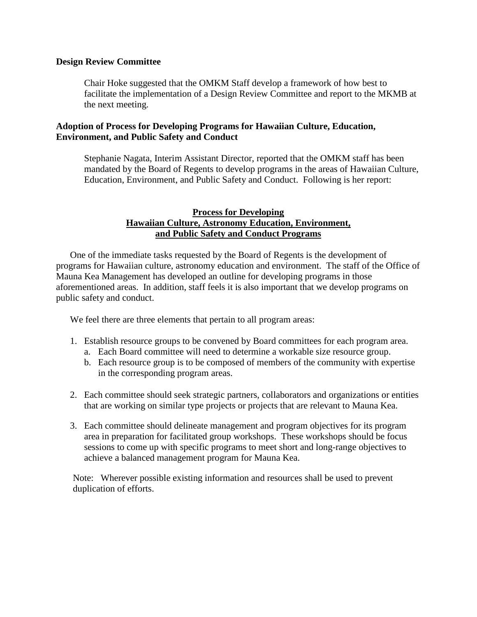#### **Design Review Committee**

Chair Hoke suggested that the OMKM Staff develop a framework of how best to facilitate the implementation of a Design Review Committee and report to the MKMB at the next meeting.

#### **Adoption of Process for Developing Programs for Hawaiian Culture, Education, Environment, and Public Safety and Conduct**

Stephanie Nagata, Interim Assistant Director, reported that the OMKM staff has been mandated by the Board of Regents to develop programs in the areas of Hawaiian Culture, Education, Environment, and Public Safety and Conduct. Following is her report:

### **Process for Developing Hawaiian Culture, Astronomy Education, Environment, and Public Safety and Conduct Programs**

One of the immediate tasks requested by the Board of Regents is the development of programs for Hawaiian culture, astronomy education and environment. The staff of the Office of Mauna Kea Management has developed an outline for developing programs in those aforementioned areas. In addition, staff feels it is also important that we develop programs on public safety and conduct.

We feel there are three elements that pertain to all program areas:

- 1. Establish resource groups to be convened by Board committees for each program area.
	- a. Each Board committee will need to determine a workable size resource group.
	- b. Each resource group is to be composed of members of the community with expertise in the corresponding program areas.
- 2. Each committee should seek strategic partners, collaborators and organizations or entities that are working on similar type projects or projects that are relevant to Mauna Kea.
- 3. Each committee should delineate management and program objectives for its program area in preparation for facilitated group workshops. These workshops should be focus sessions to come up with specific programs to meet short and long-range objectives to achieve a balanced management program for Mauna Kea.

Note: Wherever possible existing information and resources shall be used to prevent duplication of efforts.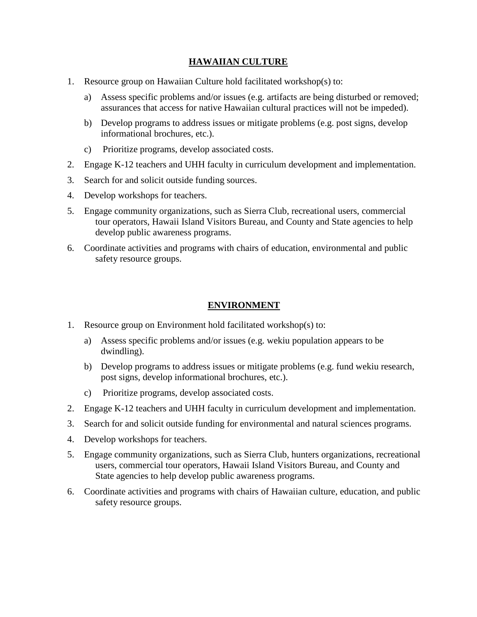### **HAWAIIAN CULTURE**

- 1. Resource group on Hawaiian Culture hold facilitated workshop(s) to:
	- a) Assess specific problems and/or issues (e.g. artifacts are being disturbed or removed; assurances that access for native Hawaiian cultural practices will not be impeded).
	- b) Develop programs to address issues or mitigate problems (e.g. post signs, develop informational brochures, etc.).
	- c) Prioritize programs, develop associated costs.
- 2. Engage K-12 teachers and UHH faculty in curriculum development and implementation.
- 3. Search for and solicit outside funding sources.
- 4. Develop workshops for teachers.
- 5. Engage community organizations, such as Sierra Club, recreational users, commercial tour operators, Hawaii Island Visitors Bureau, and County and State agencies to help develop public awareness programs.
- 6. Coordinate activities and programs with chairs of education, environmental and public safety resource groups.

## **ENVIRONMENT**

- 1. Resource group on Environment hold facilitated workshop(s) to:
	- a) Assess specific problems and/or issues (e.g. wekiu population appears to be dwindling).
	- b) Develop programs to address issues or mitigate problems (e.g. fund wekiu research, post signs, develop informational brochures, etc.).
	- c) Prioritize programs, develop associated costs.
- 2. Engage K-12 teachers and UHH faculty in curriculum development and implementation.
- 3. Search for and solicit outside funding for environmental and natural sciences programs.
- 4. Develop workshops for teachers.
- 5. Engage community organizations, such as Sierra Club, hunters organizations, recreational users, commercial tour operators, Hawaii Island Visitors Bureau, and County and State agencies to help develop public awareness programs.
- 6. Coordinate activities and programs with chairs of Hawaiian culture, education, and public safety resource groups.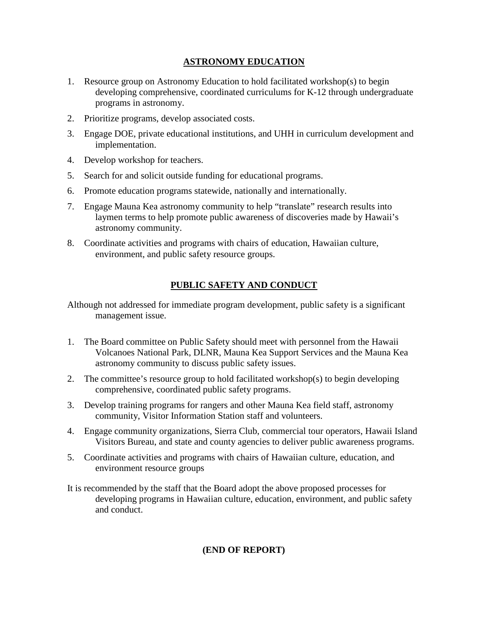## **ASTRONOMY EDUCATION**

- 1. Resource group on Astronomy Education to hold facilitated workshop(s) to begin developing comprehensive, coordinated curriculums for K-12 through undergraduate programs in astronomy.
- 2. Prioritize programs, develop associated costs.
- 3. Engage DOE, private educational institutions, and UHH in curriculum development and implementation.
- 4. Develop workshop for teachers.
- 5. Search for and solicit outside funding for educational programs.
- 6. Promote education programs statewide, nationally and internationally.
- 7. Engage Mauna Kea astronomy community to help "translate" research results into laymen terms to help promote public awareness of discoveries made by Hawaii's astronomy community.
- 8. Coordinate activities and programs with chairs of education, Hawaiian culture, environment, and public safety resource groups.

## **PUBLIC SAFETY AND CONDUCT**

Although not addressed for immediate program development, public safety is a significant management issue.

- 1. The Board committee on Public Safety should meet with personnel from the Hawaii Volcanoes National Park, DLNR, Mauna Kea Support Services and the Mauna Kea astronomy community to discuss public safety issues.
- 2. The committee's resource group to hold facilitated workshop(s) to begin developing comprehensive, coordinated public safety programs.
- 3. Develop training programs for rangers and other Mauna Kea field staff, astronomy community, Visitor Information Station staff and volunteers.
- 4. Engage community organizations, Sierra Club, commercial tour operators, Hawaii Island Visitors Bureau, and state and county agencies to deliver public awareness programs.
- 5. Coordinate activities and programs with chairs of Hawaiian culture, education, and environment resource groups
- It is recommended by the staff that the Board adopt the above proposed processes for developing programs in Hawaiian culture, education, environment, and public safety and conduct.

## **(END OF REPORT)**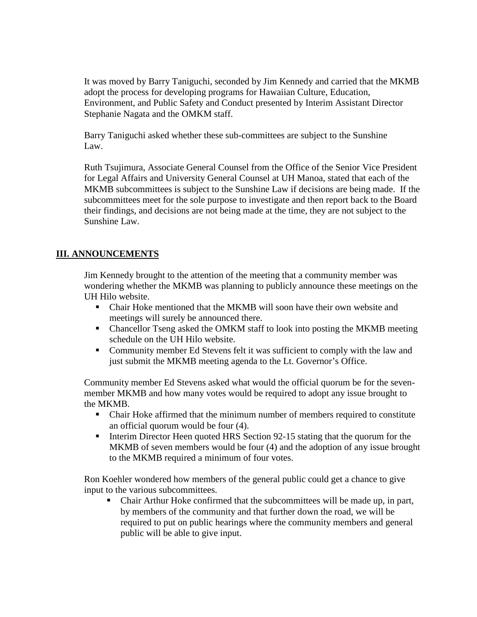It was moved by Barry Taniguchi, seconded by Jim Kennedy and carried that the MKMB adopt the process for developing programs for Hawaiian Culture, Education, Environment, and Public Safety and Conduct presented by Interim Assistant Director Stephanie Nagata and the OMKM staff.

Barry Taniguchi asked whether these sub-committees are subject to the Sunshine Law.

Ruth Tsujimura, Associate General Counsel from the Office of the Senior Vice President for Legal Affairs and University General Counsel at UH Manoa, stated that each of the MKMB subcommittees is subject to the Sunshine Law if decisions are being made. If the subcommittees meet for the sole purpose to investigate and then report back to the Board their findings, and decisions are not being made at the time, they are not subject to the Sunshine Law.

### **III. ANNOUNCEMENTS**

Jim Kennedy brought to the attention of the meeting that a community member was wondering whether the MKMB was planning to publicly announce these meetings on the UH Hilo website.

- Chair Hoke mentioned that the MKMB will soon have their own website and meetings will surely be announced there.
- Chancellor Tseng asked the OMKM staff to look into posting the MKMB meeting schedule on the UH Hilo website.
- Community member Ed Stevens felt it was sufficient to comply with the law and just submit the MKMB meeting agenda to the Lt. Governor's Office.

Community member Ed Stevens asked what would the official quorum be for the sevenmember MKMB and how many votes would be required to adopt any issue brought to the MKMB.

- Chair Hoke affirmed that the minimum number of members required to constitute an official quorum would be four (4).
- Interim Director Heen quoted HRS Section 92-15 stating that the quorum for the MKMB of seven members would be four (4) and the adoption of any issue brought to the MKMB required a minimum of four votes.

Ron Koehler wondered how members of the general public could get a chance to give input to the various subcommittees.

 Chair Arthur Hoke confirmed that the subcommittees will be made up, in part, by members of the community and that further down the road, we will be required to put on public hearings where the community members and general public will be able to give input.